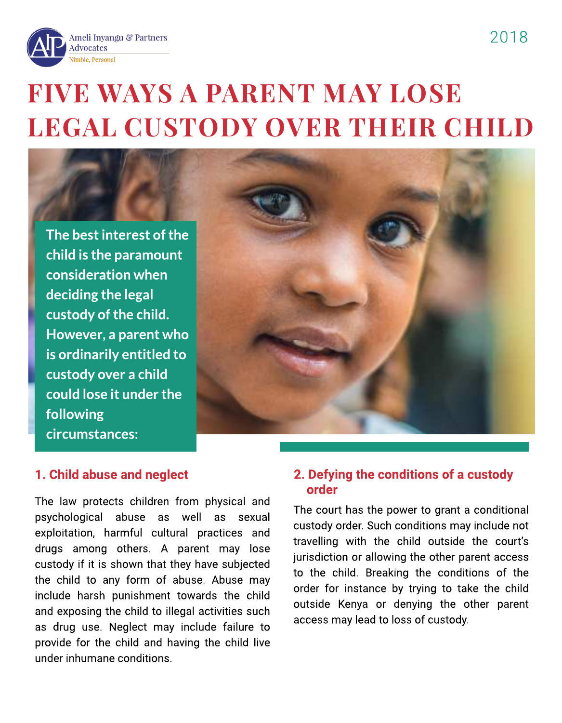

# **FIVE WAYS A PARENT MAY LOSE** LEGAL CUSTODY OVER THEIR CHILD

*The best interest of the child is the paramount consideration when deciding the legal custody of the child. However, a parent who is ordinarily entitled to custody over a child could lose it under the following circumstances:*



## *1. Child abuse and neglect*

The law protects children from physical and psychological abuse as well as sexual exploitation, harmful cultural practices and drugs among others. A parent may lose custody if it is shown that they have subjected the child to any form of abuse. Abuse may include harsh punishment towards the child and exposing the child to illegal activities such as drug use. Neglect may include failure to provide for the child and having the child live under inhumane conditions.

### *2. Defying the conditions of a custody order*

The court has the power to grant a conditional custody order. Such conditions may include not travelling with the child outside the court?s jurisdiction or allowing the other parent access to the child. Breaking the conditions of the order for instance by trying to take the child outside Kenya or denying the other parent access may lead to loss of custody.